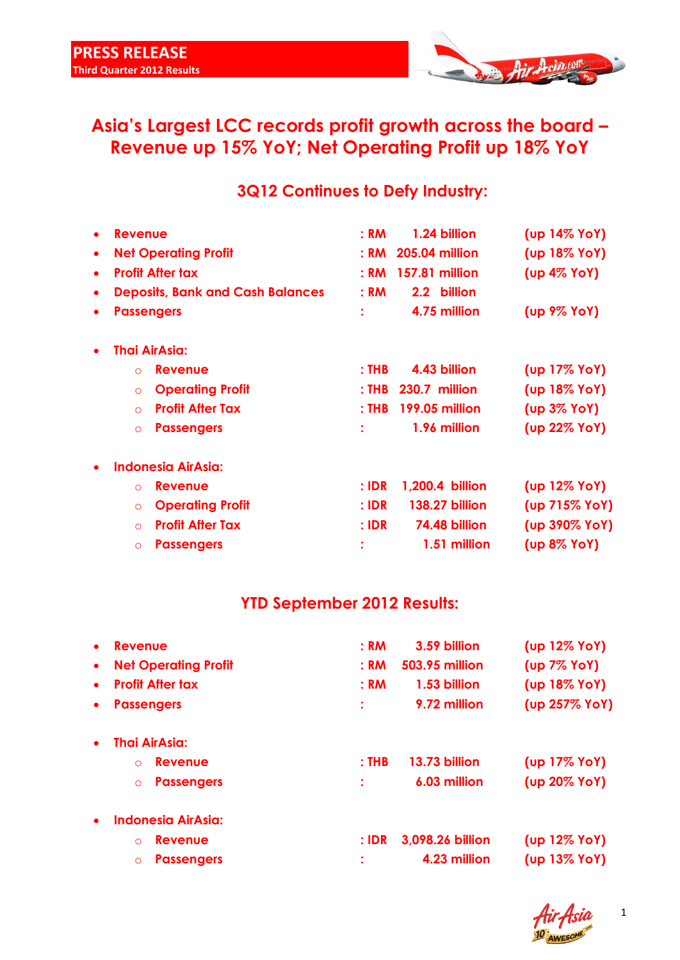

# **Asia's Largest LCC records profit growth across the board – Revenue up 15% YoY; Net Operating Profit up 18% YoY**

## **3Q12 Continues to Defy Industry:**

| $\bullet$ | <b>Revenue</b>                          | 1.24 billion<br>: RM             | (up 14% YoY)       |
|-----------|-----------------------------------------|----------------------------------|--------------------|
| ٠         | <b>Net Operating Profit</b>             | <b>205.04 million</b><br>: RM    | (up 18% YoY)       |
| $\bullet$ | <b>Profit After tax</b>                 | <b>157.81 million</b><br>: RM    | $(up 4\%$ YoY)     |
| $\bullet$ | <b>Deposits, Bank and Cash Balances</b> | 2.2 billion<br>: RM              |                    |
| $\bullet$ | <b>Passengers</b>                       | 4.75 million                     | (up 9% YoY)        |
| $\bullet$ | <b>Thai AirAsia:</b>                    |                                  |                    |
|           | <b>Revenue</b><br>$\Omega$              | 4.43 billion<br>$:$ THB          | (up 17% YoY)       |
|           | <b>Operating Profit</b><br>$\circ$      | 230.7 million<br>$:$ THB         | (up 18% YoY)       |
|           | <b>Profit After Tax</b><br>$\Omega$     | $:$ THB<br><b>199.05 million</b> | $(up 3\%$ YoY)     |
|           | <b>Passengers</b><br>$\circ$            | 1.96 million                     | (up 22% YoY)       |
| $\bullet$ | <b>Indonesia AirAsia:</b>               |                                  |                    |
|           | <b>Revenue</b><br>$\Omega$              | 1,200.4 billion<br>$:$ IDR       | $(up 12\%$ YoY $)$ |
|           | <b>Operating Profit</b><br>$\circ$      | $:$ IDR<br><b>138.27 billion</b> | (up 715% YoY)      |
|           | <b>Profit After Tax</b><br>$\circ$      | 74.48 billion<br>$:$ IDR         | (up 390% YoY)      |
|           | <b>Passengers</b><br>$\circ$            | 1.51 million                     | (up 8% YoY)        |
|           |                                         |                                  |                    |

## **YTD September 2012 Results:**

| : RM<br>3.59 billion          | (up 12% YoY)                     |
|-------------------------------|----------------------------------|
| <b>503.95 million</b><br>: RM | (up 7% YoY)                      |
| : RM<br>1.53 billion          | (up 18% YoY)                     |
| 9.72 million                  | (up 257% YoY)                    |
|                               |                                  |
| $:$ THB<br>13.73 billion      | (up 17% YoY)                     |
| 6.03 million                  | (up 20% YoY)                     |
|                               |                                  |
| $:$ IDR                       | $(up 12\%$ YoY $)$               |
|                               | (up 13% YoY)                     |
|                               | 3,098.26 billion<br>4.23 million |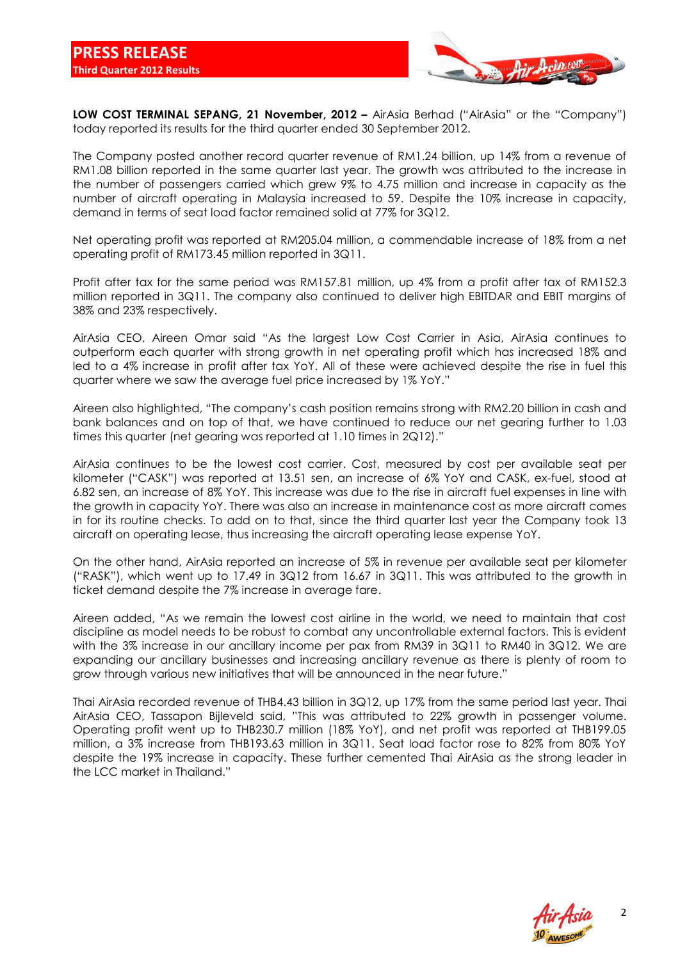

**LOW COST TERMINAL SEPANG, 21 November, 2012 - AirAsia Berhad ("AirAsia" or the "Company")** today reported its results for the third quarter ended 30 September 2012.

The Company posted another record quarter revenue of RM1.24 billion, up 14% from a revenue of RM1.08 billion reported in the same quarter last year. The growth was attributed to the increase in the number of passengers carried which grew 9% to 4.75 million and increase in capacity as the number of aircraft operating in Malaysia increased to 59. Despite the 10% increase in capacity, demand in terms of seat load factor remained solid at 77% for 3Q12.

Net operating profit was reported at RM205.04 million, a commendable increase of 18% from a net operating profit of RM173.45 million reported in 3Q11.

Profit after tax for the same period was RM157.81 million, up 4% from a profit after tax of RM152.3 million reported in 3Q11. The company also continued to deliver high EBITDAR and EBIT margins of 38% and 23% respectively.

AirAsia CEO, Aireen Omar said "As the largest Low Cost Carrier in Asia, AirAsia continues to outperform each quarter with strong growth in net operating profit which has increased 18% and led to a 4% increase in profit after tax YoY. All of these were achieved despite the rise in fuel this quarter where we saw the average fuel price increased by 1% YoY."

Aireen also highlighted, "The company's cash position remains strong with RM2.20 billion in cash and bank balances and on top of that, we have continued to reduce our net gearing further to 1.03 times this quarter (net gearing was reported at 1.10 times in 2Q12)."

AirAsia continues to be the lowest cost carrier. Cost, measured by cost per available seat per kilometer ("CASK") was reported at 13.51 sen, an increase of 6% YoY and CASK, ex-fuel, stood at 6.82 sen, an increase of 8% YoY. This increase was due to the rise in aircraft fuel expenses in line with the growth in capacity YoY. There was also an increase in maintenance cost as more aircraft comes in for its routine checks. To add on to that, since the third quarter last year the Company took 13 aircraft on operating lease, thus increasing the aircraft operating lease expense YoY.

On the other hand, AirAsia reported an increase of 5% in revenue per available seat per kilometer ("RASK"), which went up to 17.49 in 3Q12 from 16.67 in 3Q11. This was attributed to the growth in ticket demand despite the 7% increase in average fare.

Aireen added, "As we remain the lowest cost airline in the world, we need to maintain that cost discipline as model needs to be robust to combat any uncontrollable external factors. This is evident with the 3% increase in our ancillary income per pax from RM39 in 3Q11 to RM40 in 3Q12. We are expanding our ancillary businesses and increasing ancillary revenue as there is plenty of room to grow through various new initiatives that will be announced in the near future."

Thai AirAsia recorded revenue of THB4.43 billion in 3Q12, up 17% from the same period last year. Thai AirAsia CEO, Tassapon Bijleveld said, "This was attributed to 22% growth in passenger volume. Operating profit went up to THB230.7 million (18% YoY), and net profit was reported at THB199.05 million, a 3% increase from THB193.63 million in 3Q11. Seat load factor rose to 82% from 80% YoY despite the 19% increase in capacity. These further cemented Thai AirAsia as the strong leader in the LCC market in Thailand."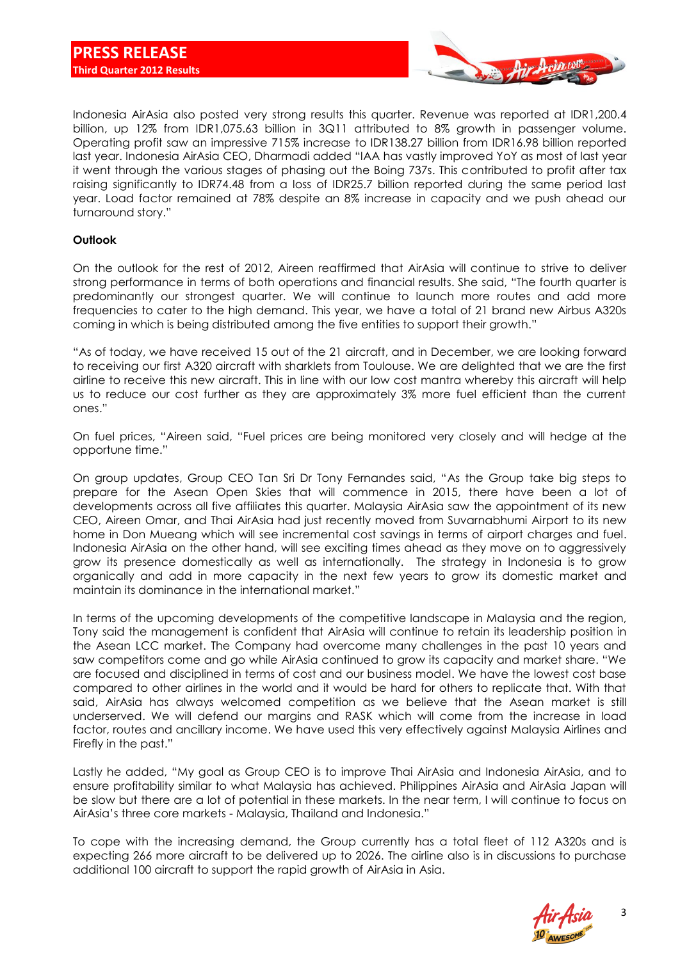

Indonesia AirAsia also posted very strong results this quarter. Revenue was reported at IDR1,200.4 billion, up 12% from IDR1,075.63 billion in 3Q11 attributed to 8% growth in passenger volume. Operating profit saw an impressive 715% increase to IDR138.27 billion from IDR16.98 billion reported last year. Indonesia AirAsia CEO, Dharmadi added "IAA has vastly improved YoY as most of last year it went through the various stages of phasing out the Boing 737s. This contributed to profit after tax raising significantly to IDR74.48 from a loss of IDR25.7 billion reported during the same period last year. Load factor remained at 78% despite an 8% increase in capacity and we push ahead our turnaround story."

### **Outlook**

On the outlook for the rest of 2012, Aireen reaffirmed that AirAsia will continue to strive to deliver strong performance in terms of both operations and financial results. She said, "The fourth quarter is predominantly our strongest quarter. We will continue to launch more routes and add more frequencies to cater to the high demand. This year, we have a total of 21 brand new Airbus A320s coming in which is being distributed among the five entities to support their growth."

"As of today, we have received 15 out of the 21 aircraft, and in December, we are looking forward to receiving our first A320 aircraft with sharklets from Toulouse. We are delighted that we are the first airline to receive this new aircraft. This in line with our low cost mantra whereby this aircraft will help us to reduce our cost further as they are approximately 3% more fuel efficient than the current ones."

On fuel prices, "Aireen said, "Fuel prices are being monitored very closely and will hedge at the opportune time."

On group updates, Group CEO Tan Sri Dr Tony Fernandes said, "As the Group take big steps to prepare for the Asean Open Skies that will commence in 2015, there have been a lot of developments across all five affiliates this quarter. Malaysia AirAsia saw the appointment of its new CEO, Aireen Omar, and Thai AirAsia had just recently moved from Suvarnabhumi Airport to its new home in Don Mueang which will see incremental cost savings in terms of airport charges and fuel. Indonesia AirAsia on the other hand, will see exciting times ahead as they move on to aggressively grow its presence domestically as well as internationally. The strategy in Indonesia is to grow organically and add in more capacity in the next few years to grow its domestic market and maintain its dominance in the international market."

In terms of the upcoming developments of the competitive landscape in Malaysia and the region, Tony said the management is confident that AirAsia will continue to retain its leadership position in the Asean LCC market. The Company had overcome many challenges in the past 10 years and saw competitors come and go while AirAsia continued to grow its capacity and market share. "We are focused and disciplined in terms of cost and our business model. We have the lowest cost base compared to other airlines in the world and it would be hard for others to replicate that. With that said, AirAsia has always welcomed competition as we believe that the Asean market is still underserved. We will defend our margins and RASK which will come from the increase in load factor, routes and ancillary income. We have used this very effectively against Malaysia Airlines and Firefly in the past."

Lastly he added, "My goal as Group CEO is to improve Thai AirAsia and Indonesia AirAsia, and to ensure profitability similar to what Malaysia has achieved. Philippines AirAsia and AirAsia Japan will be slow but there are a lot of potential in these markets. In the near term, I will continue to focus on AirAsia's three core markets - Malaysia, Thailand and Indonesia."

To cope with the increasing demand, the Group currently has a total fleet of 112 A320s and is expecting 266 more aircraft to be delivered up to 2026. The airline also is in discussions to purchase additional 100 aircraft to support the rapid growth of AirAsia in Asia.